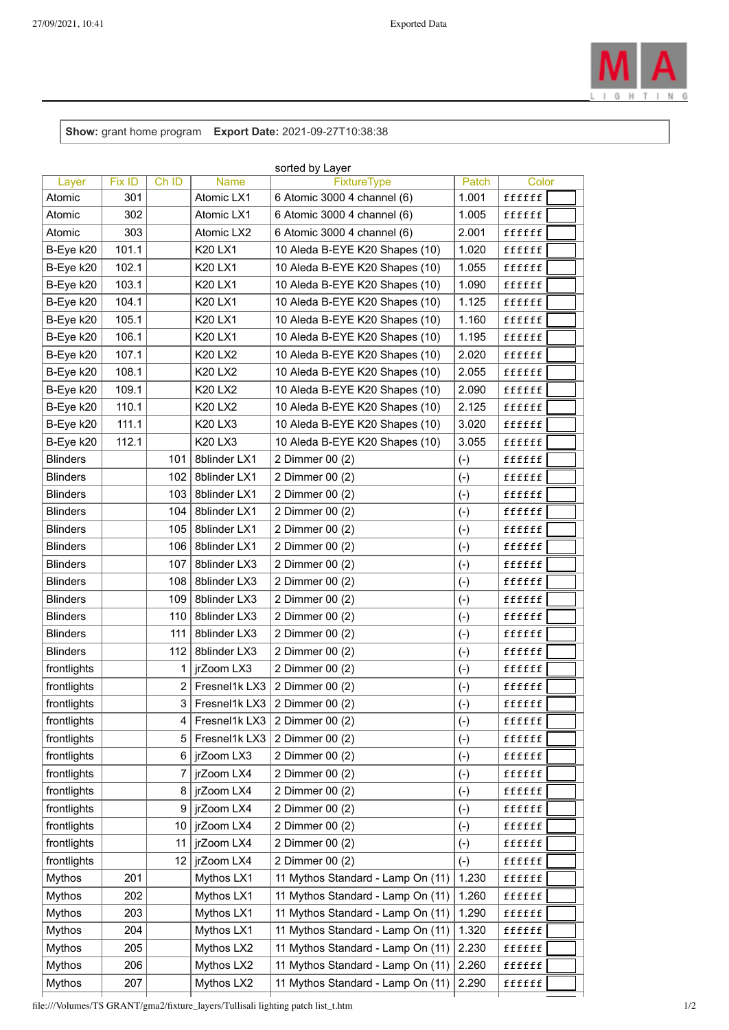

**Show:** grant home program **Export Date:** 2021-09-27T10:38:38

| sorted by Layer |        |       |                     |                                       |       |        |  |  |
|-----------------|--------|-------|---------------------|---------------------------------------|-------|--------|--|--|
| Layer           | Fix ID | Ch ID | Name                | <b>FixtureType</b>                    | Patch | Color  |  |  |
| Atomic          | 301    |       | Atomic LX1          | 6 Atomic 3000 4 channel (6)           | 1.001 | ffffff |  |  |
| Atomic          | 302    |       | Atomic LX1          | 6 Atomic 3000 4 channel (6)           | 1.005 | ffffff |  |  |
| Atomic          | 303    |       | Atomic LX2          | 6 Atomic 3000 4 channel (6)           | 2.001 | ffffff |  |  |
| B-Eye k20       | 101.1  |       | <b>K20 LX1</b>      | 10 Aleda B-EYE K20 Shapes (10)        | 1.020 | ffffff |  |  |
| B-Eye k20       | 102.1  |       | <b>K20 LX1</b>      | 10 Aleda B-EYE K20 Shapes (10)        | 1.055 | ffffff |  |  |
| B-Eye k20       | 103.1  |       | <b>K20 LX1</b>      | 10 Aleda B-EYE K20 Shapes (10)        | 1.090 | ffffff |  |  |
| B-Eye k20       | 104.1  |       | K20 LX1             | 10 Aleda B-EYE K20 Shapes (10)        | 1.125 | ffffff |  |  |
| B-Eye k20       | 105.1  |       | <b>K20 LX1</b>      | 10 Aleda B-EYE K20 Shapes (10)        | 1.160 | ffffff |  |  |
| B-Eye k20       | 106.1  |       | K20 LX1             | 10 Aleda B-EYE K20 Shapes (10)        | 1.195 | ffffff |  |  |
| B-Eye k20       | 107.1  |       | <b>K20 LX2</b>      | 10 Aleda B-EYE K20 Shapes (10)        | 2.020 | ffffff |  |  |
| B-Eye k20       | 108.1  |       | <b>K20 LX2</b>      | 10 Aleda B-EYE K20 Shapes (10)        | 2.055 | ffffff |  |  |
| B-Eye k20       | 109.1  |       | <b>K20 LX2</b>      | 10 Aleda B-EYE K20 Shapes (10)        | 2.090 | ffffff |  |  |
| B-Eye k20       | 110.1  |       | <b>K20 LX2</b>      | 10 Aleda B-EYE K20 Shapes (10)        | 2.125 | ffffff |  |  |
| B-Eye k20       | 111.1  |       | K20 LX3             | 10 Aleda B-EYE K20 Shapes (10)        | 3.020 | ffffff |  |  |
| B-Eye k20       | 112.1  |       | K20 LX3             | 10 Aleda B-EYE K20 Shapes (10)        | 3.055 | ffffff |  |  |
| <b>Blinders</b> |        | 101   | 8blinder LX1        | 2 Dimmer 00 (2)                       | $(-)$ | ffffff |  |  |
| <b>Blinders</b> |        | 102   | 8blinder LX1        | 2 Dimmer 00 (2)                       | $(-)$ | ffffff |  |  |
| <b>Blinders</b> |        | 103   | 8blinder LX1        | 2 Dimmer 00 (2)                       | $(-)$ | ffffff |  |  |
| <b>Blinders</b> |        | 104   | 8blinder LX1        | 2 Dimmer 00 (2)                       | $(-)$ | ffffff |  |  |
| <b>Blinders</b> |        | 105   | 8blinder LX1        | 2 Dimmer 00 (2)                       | $(-)$ | ffffff |  |  |
| <b>Blinders</b> |        | 106   | 8blinder LX1        | 2 Dimmer 00 (2)                       | $(-)$ | ffffff |  |  |
| <b>Blinders</b> |        | 107   | 8blinder LX3        | 2 Dimmer 00 (2)                       | $(-)$ | ffffff |  |  |
| <b>Blinders</b> |        | 108   | 8blinder LX3        | 2 Dimmer 00 (2)                       | $(-)$ | ffffff |  |  |
| <b>Blinders</b> |        | 109   | <b>8blinder LX3</b> | 2 Dimmer 00 (2)                       | $(-)$ | ffffff |  |  |
| <b>Blinders</b> |        | 110   | 8blinder LX3        | 2 Dimmer 00 (2)                       | $(-)$ | ffffff |  |  |
| <b>Blinders</b> |        | 111   | 8blinder LX3        | 2 Dimmer 00 (2)                       | $(-)$ | ffffff |  |  |
| <b>Blinders</b> |        | 112   | 8blinder LX3        | 2 Dimmer 00 (2)                       | $(-)$ | ffffff |  |  |
| frontlights     |        | 1     | jrZoom LX3          | 2 Dimmer 00 (2)                       | $(-)$ | ffffff |  |  |
| frontlights     |        | 2     | Fresnel1k LX3       | 2 Dimmer 00 (2)                       | $(-)$ | ffffff |  |  |
| frontlights     |        | 3     |                     | Fresnel1k LX3 $\vert$ 2 Dimmer 00 (2) | $(-)$ | ffffff |  |  |
| frontlights     |        | 4     | Fresnel1k LX3       | 2 Dimmer 00 (2)                       | $(-)$ | ffffff |  |  |
| frontlights     |        | 5     | Fresnel1k LX3       | 2 Dimmer 00 (2)                       | $(-)$ | ffffff |  |  |
| frontlights     |        | 6     | jrZoom LX3          | 2 Dimmer 00 (2)                       | $(-)$ | ffffff |  |  |
| frontlights     |        | 7     | jrZoom LX4          | 2 Dimmer 00 (2)                       | $(-)$ | ffffff |  |  |
| frontlights     |        | 8     | jrZoom LX4          | 2 Dimmer 00 (2)                       | $(-)$ | ffffff |  |  |
| frontlights     |        | 9     | jrZoom LX4          | 2 Dimmer 00 (2)                       | $(-)$ | ffffff |  |  |
| frontlights     |        | 10    | jrZoom LX4          | 2 Dimmer 00 (2)                       | $(-)$ | ffffff |  |  |
| frontlights     |        | 11    | jrZoom LX4          | 2 Dimmer 00 (2)                       | $(-)$ | ffffff |  |  |
| frontlights     |        | 12    | jrZoom LX4          | 2 Dimmer 00 (2)                       | $(-)$ | ffffff |  |  |
| <b>Mythos</b>   | 201    |       | Mythos LX1          | 11 Mythos Standard - Lamp On (11)     | 1.230 | ffffff |  |  |
| <b>Mythos</b>   | 202    |       | Mythos LX1          | 11 Mythos Standard - Lamp On (11)     | 1.260 | ffffff |  |  |
| <b>Mythos</b>   | 203    |       | Mythos LX1          | 11 Mythos Standard - Lamp On (11)     | 1.290 | ffffff |  |  |
| Mythos          | 204    |       | Mythos LX1          | 11 Mythos Standard - Lamp On (11)     | 1.320 | ffffff |  |  |
| <b>Mythos</b>   | 205    |       | Mythos LX2          | 11 Mythos Standard - Lamp On (11)     | 2.230 | ffffff |  |  |
| <b>Mythos</b>   | 206    |       | Mythos LX2          | 11 Mythos Standard - Lamp On (11)     | 2.260 | ffffff |  |  |
| <b>Mythos</b>   | 207    |       | Mythos LX2          | 11 Mythos Standard - Lamp On (11)     | 2.290 | ffffff |  |  |
|                 |        |       |                     |                                       |       |        |  |  |

file:///Volumes/TS GRANT/gma2/fixture\_layers/Tullisali lighting patch list\_t.htm 1/2